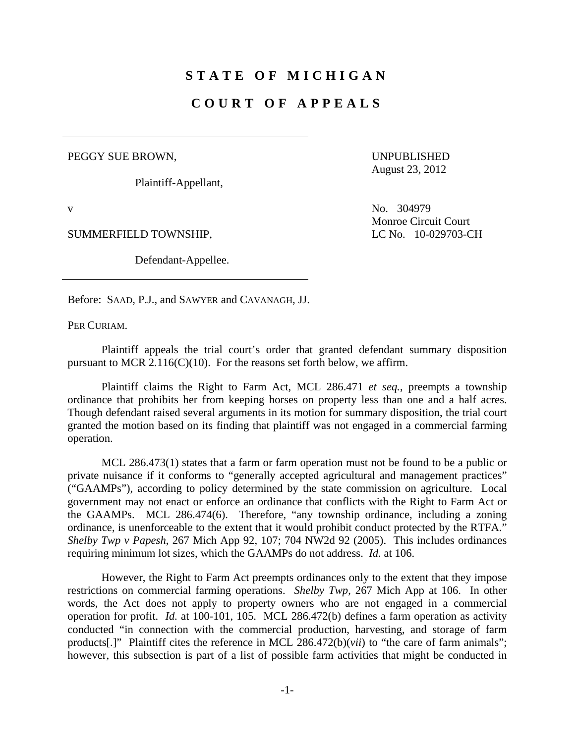## **STATE OF MICHIGAN**

## **COURT OF APPEALS**

## PEGGY SUE BROWN,

Plaintiff-Appellant,

UNPUBLISHED August 23, 2012

SUMMERFIELD TOWNSHIP, THE RESERVE LC No. 10-029703-CH

Defendant-Appellee.

v No. 304979 Monroe Circuit Court

Before: SAAD, P.J., and SAWYER and CAVANAGH, JJ.

PER CURIAM.

 Plaintiff appeals the trial court's order that granted defendant summary disposition pursuant to MCR 2.116(C)(10). For the reasons set forth below, we affirm.

 Plaintiff claims the Right to Farm Act, MCL 286.471 *et seq.*, preempts a township ordinance that prohibits her from keeping horses on property less than one and a half acres. Though defendant raised several arguments in its motion for summary disposition, the trial court granted the motion based on its finding that plaintiff was not engaged in a commercial farming operation.

 MCL 286.473(1) states that a farm or farm operation must not be found to be a public or private nuisance if it conforms to "generally accepted agricultural and management practices" ("GAAMPs"), according to policy determined by the state commission on agriculture. Local government may not enact or enforce an ordinance that conflicts with the Right to Farm Act or the GAAMPs. MCL 286.474(6). Therefore, "any township ordinance, including a zoning ordinance, is unenforceable to the extent that it would prohibit conduct protected by the RTFA." *Shelby Twp v Papesh*, 267 Mich App 92, 107; 704 NW2d 92 (2005). This includes ordinances requiring minimum lot sizes, which the GAAMPs do not address. *Id.* at 106.

 However, the Right to Farm Act preempts ordinances only to the extent that they impose restrictions on commercial farming operations. *Shelby Twp*, 267 Mich App at 106. In other words, the Act does not apply to property owners who are not engaged in a commercial operation for profit. *Id.* at 100-101, 105. MCL 286.472(b) defines a farm operation as activity conducted "in connection with the commercial production, harvesting, and storage of farm products[.]" Plaintiff cites the reference in MCL 286.472(b)(*vii*) to "the care of farm animals"; however, this subsection is part of a list of possible farm activities that might be conducted in